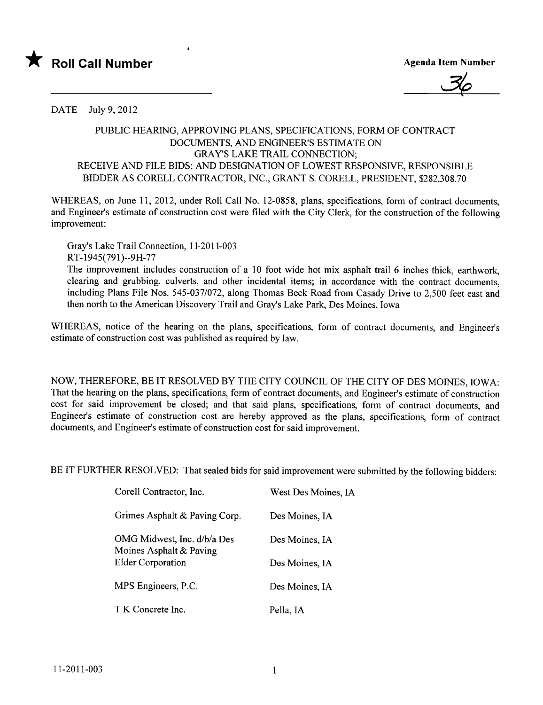



DATE July 9,2012

## PUBLIC HEARIG, APPROVING PLANS, SPECIFICATIONS, FORM OF CONTRACT DOCUMENTS, AND ENGINEER'S ESTIMATE ON GRAY'S LAKE TRAIL CONNECTION; RECEIVE AND FILE BIDS; AND DESIGNATION OF LOWEST RESPONSIVE, RESPONSIBLE BIDDER AS CORELL CONTRACTOR, INC., GRANT S. CORELL, PRESIDENT, \$282,308.70

WHEREAS, on June 11, 2012, under Roll Call No. 12-0858, plans, specifications, form of contract documents, and Engineer's estimate of construction cost were fied with the City Clerk, for the construction of the following improvement:

Gray's Lake Trail Connection, 11-2011-003 RT-1945(791)--9H-77

The improvement includes construction of a 10 foot wide hot mix asphalt trail 6 inches thick, earthwork, clearing and grubbing, culverts, and other incidental items; in accordance with the contract documents, including Plans File Nos. 545-037/072, along Thomas Beck Road from Casady Drive to 2,500 feet east and then north to the American Discovery Trail and Gray's Lake Park, Des Moines, Iowa

WHEREAS, notice of the hearing on the plans, specifications, form of contract documents, and Engineer's estimate of construction cost was published as required by law.

NOW, THEREFORE, BE IT RESOLVED BY THE CITY COUNCIL OF THE CITY OF DES MOINES, IOWA: That the hearing on the plans, specifications, form of contract documents, and Engineer's estimate of construction cost for said improvement be closed; and that said plans, specifications, form of contract documents, and Engineer's estimate of construction cost are hereby approved as the plans, specifications, form of contract documents, and Engineer's estimate of construction cost for said improvement.

BE IT FURTHER RESOLVED: That sealed bids for said improvement were submitted by the following bidders:

| Corell Contractor, Inc.                                | West Des Moines, IA |
|--------------------------------------------------------|---------------------|
| Grimes Asphalt & Paving Corp.                          | Des Moines, IA      |
| OMG Midwest, Inc. d/b/a Des<br>Moines Asphalt & Paving | Des Moines, IA      |
| <b>Elder Corporation</b>                               | Des Moines, IA      |
| MPS Engineers, P.C.                                    | Des Moines, IA      |
| T K Concrete Inc.                                      | Pella, IA           |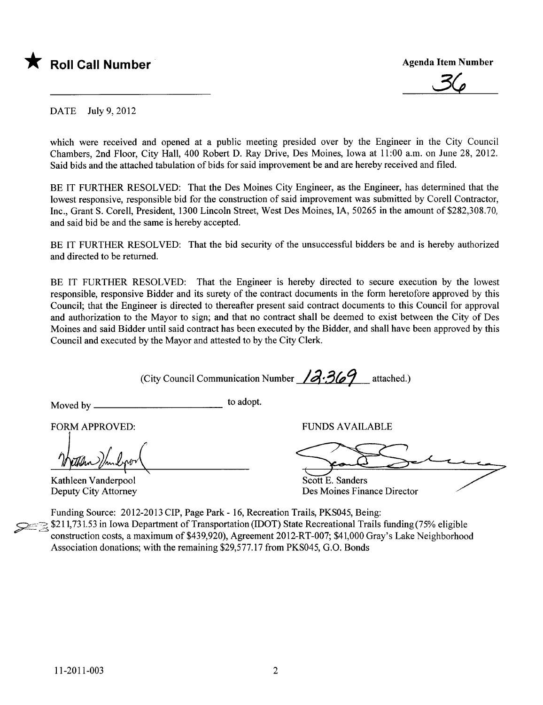

 $36$ 

DATE July 9,2012

which were received and opened at a public meeting presided over by the Engineer in the City Council Chambers, 2nd Floor, City Hall, 400 Robert D. Ray Drive, Des Moines, Iowa at 11:00 a.m. on June 28, 2012. Said bids and the attached tabulation of bids for said improvement be and are hereby received and fied.

BE IT FURTHER RESOLVED: That the Des Moines City Engineer, as the Engineer, has determined that the lowest responsive, responsible bid for the construction of said improvement was submitted by Corell Contractor, Inc., Grant S. Corell, President, 1300 Lincoln Street, West Des Moines, lA, 50265 in the amount of \$282,308.70, and said bid be and the same is hereby accepted.

BE IT FURTHER RESOLVED: That the bid security of the unsuccessful bidders be and is hereby authorized and directed to be returned.

BE IT FURTHER RESOLVED: That the Engineer is hereby directed to secure execution by the lowest responsible, responsive Bidder and its surety of the contract documents in the form heretofore approved by this Council; that the Engineer is directed to thereafter present said contract documents to this Council for approval and authorization to the Mayor to sign; and that no contract shall be deemed to exist between the City of Des Moines and said Bidder until said contract has been executed by the Bidder, and shall have been approved by this Council and executed by the Mayor and attested to by the City Clerk.

(City Council Communication Number  $\sqrt{3}$  -369 attached.)

Moved by \_\_\_\_\_\_\_\_\_\_\_\_\_\_\_\_\_\_\_\_\_\_\_\_\_\_\_\_\_\_\_\_\_\_ to adopt.<br>FORM APPROVED:

Kathleen Vanderpool Deputy City Attorney

FUNDS AVAILABLE

Scott E. Sanders

Des Moines Finance Director'

Funding Source: 2012-2013 CIP, Page Park - 16, Recreation Trails, PKS045, Being:  $\approx$   $\approx$   $\approx$  11,751.55 in Iowa Department of Transportation (IDOT) state Recreational Trails funding (75% eligible<br>construction costs, a maximum of \$439,920), Agreement 2012-RT-007; \$41,000 Gray's Lake Neighborhood Association donations; with the remaining \$29,577.17 from PKS045, G.O. Bonds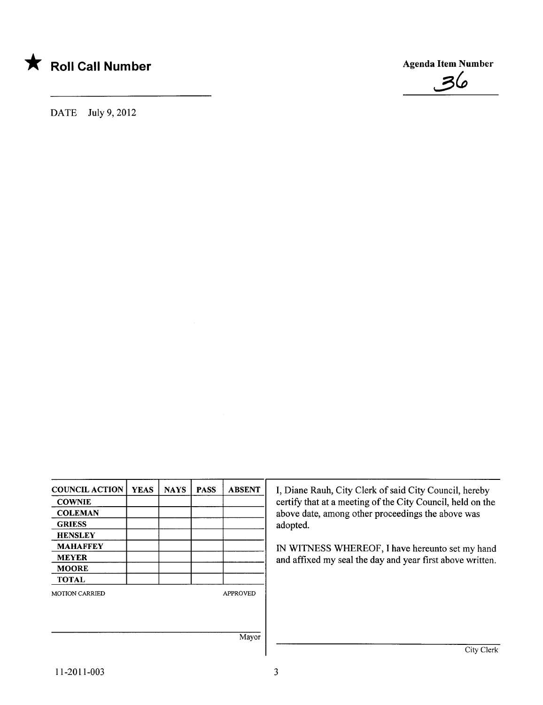

DATE July 9,2012

COUNCIL ACTION YEAS NAYS PASS ABSENT I, Diane Rauh, City Clerk of said City Council, hereby<br>
council, held on the City Council, held on the certify that at a meeting of the City Council, held on the COLEMAN **above date**, among other proceedings the above was GRIESS adopted. **HENSLEY** MAHAFFEY IM WITNESS WHEREOF, I have hereunto set my hand<br>MEYER and affixed my seal the day and year first above written and affixed my seal the day and year first above written. MOORE TOTAL MOTION CARRIED APPROVED Mayor City Clerk

 $\mathcal{Z}(\rho)$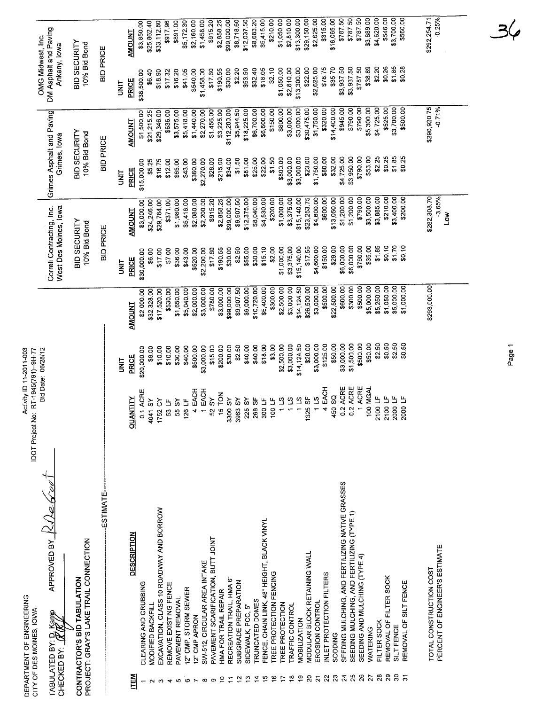| \$4,620.00<br>\$292,254.71<br>\$3,700.00<br>$-0.25%$<br>\$787.50<br>\$787.50<br>\$3,889.00<br>\$546.00<br>\$560.00<br>\$787.50<br>\$16,065.00<br>\$2,625.00<br>\$315.00<br>\$8,683.20<br>\$5,415.00<br>\$210.00<br>\$1,050.00<br>\$2,810.00<br>\$13,300.00<br>\$2,858.25<br>\$99,000.00<br>\$8,718.60<br>\$915.20<br>\$5,172.30<br>\$2,160.00<br>\$1,458.00<br>\$33,112.80<br>\$917.96<br>\$891.00<br>\$3,850.00<br>\$25,862.40<br><b>AMOUNT</b><br>BID SECURITY<br>10% Bid Bond<br>Ankeny, lowa<br><b>BID PRICE</b><br>\$1.85<br>\$0.28<br>\$3,937.50<br>\$787.50<br>\$38.89<br>\$2.20<br>\$0.26<br>\$2,625.00<br>\$78.75<br>\$35.70<br>\$3,937.50<br>\$2.10<br>\$1,050.00<br>\$2,810.00<br>\$13,300.00<br>\$22.00<br>\$53.50<br>\$32.40<br>\$18.05<br>\$30.00<br>\$2.20<br>\$17.60<br>\$190.55<br>\$41.05<br>\$540.00<br>\$1,458.00<br>\$18.90<br>\$17.32<br>\$16.20<br>\$6.40<br>\$38,500.00<br>PRICE<br><b>TINL</b><br>\$290,920.75<br>$-0.71%$<br>\$4,725.00<br>\$525.00<br>\$3,700.00<br>\$500.00<br>\$1,750.00<br>\$320.00<br>\$14,400.00<br>\$945.00<br>\$790.00<br>\$790.00<br>\$5,300.00<br>\$3,000.00<br>\$30,475.00<br>\$800.00<br>\$3,000.00<br>\$18,225.00<br>\$6,700.00<br>\$6,600.00<br>\$150.00<br>\$112,200.00<br>\$5,944.50<br>\$1,456.00<br>\$3,225.00<br>\$2,270.00<br>\$1,500.00<br>\$29,346.00<br>\$636.00<br>\$3,575.00<br>\$5,418.00<br>\$1,440.00<br>\$21,215.25<br>AMOUNT<br>BID SECURITY<br>10% Bid Bond<br>Grimes, lowa<br><b>BID PRICE</b><br>\$790.00<br>\$53.00<br>\$2.25<br>\$0.25<br>\$1.85<br>\$23.00<br>\$1,750.00<br>\$80.00<br>\$32.00<br>\$4,725.00<br>\$3,950.00<br>\$0.25<br>\$3,000.00<br>\$3,000.00<br>\$22.00<br>\$1,50<br>\$800.00<br>\$81.00<br>\$25.00<br>\$1.50<br>\$34.00<br>\$43.00<br>\$360.00<br>\$2,270.00<br>\$28.00<br>\$215.00<br>\$16.75<br>\$12.00<br>\$65.00<br>\$15,000.00<br>\$5.25<br>PRICE<br><b>TINU</b><br>\$282,308.70<br>$-3.65%$<br>\$1,200.00<br>\$1,200.00<br>\$790.00<br>\$3,500.00<br>\$3,885.00<br>\$210.00<br>\$3,400.00<br>\$3,375.00<br>\$15,140.00<br>\$23,253.75<br>\$4,600.00<br>\$600.00<br>\$13,050.00<br>\$200.00<br>\$1,000.00<br>\$12,375.00<br>\$4,530.00<br>\$200.00<br>\$2,858.25<br>\$99,000.00<br>\$9,907.50<br>\$8,040.00<br>\$5,418.00<br>\$2,200.00<br>\$915.20<br>\$1,980.00<br>\$2,080.00<br>\$3,000.00<br>\$24,246.00<br>\$29,784.00<br>\$371.00<br>West Des Moines, lowa<br><b>AMOUNT</b><br>$\sum_{i=1}^{\infty}$<br>BID SECURITY<br>10% Bid Bond<br><b>BID PRICE</b><br>\$1.85<br>\$0.10<br>\$1.70<br>\$6,000.00<br>\$6,000.00<br>\$790.00<br>\$35.00<br>\$0.10<br>\$3,375.00<br>\$17.55<br>\$29.00<br>\$2.00<br>\$1,000.00<br>\$15,140.00<br>\$4,600.00<br>\$150.00<br>\$2.50<br>\$55.00<br>\$30.00<br>\$15.10<br>\$190.55<br>\$30.00<br>\$520.00<br>\$2,200.00<br>\$17.60<br>\$7.00<br>\$36.00<br>\$43.00<br>\$6.00<br>\$17.00<br>\$30,000.00<br>PRICE<br>i<br>N<br>\$293,000.00<br>\$5,000.00<br>\$500.00<br>\$5,000.00<br>\$5,250.00<br>\$1,050.00<br>\$1,000.00<br>\$300.00<br>\$3,000.00<br>\$14,124.50<br>\$26,500.00<br>\$3,000.00<br>\$500.00<br>\$22,500.00<br>\$600.00<br>\$10,720.00<br>\$5,400.00<br>\$300.00<br>\$2,500.00<br>\$9,907.50<br>\$9,000.00<br>\$3,000.00<br>\$99,000.00<br>\$5,040.00<br>\$3,000.00<br>\$780.00<br>\$2,000.00<br>\$32,328.00<br>\$530.00<br>\$1,650.00<br>\$2,000.00<br>\$17520.00<br><b>AMOUNT</b><br>\$2.50<br>\$0.50<br>\$2.50<br>\$500.00<br>\$50.00<br>\$0.50<br>\$50.00<br>\$3,000.00<br>\$1,500.00<br>\$14,124.50<br>\$20.00<br>\$3,000.00<br>\$125.00<br>\$3.00<br>\$2,500.00<br>\$3,000.00<br>\$2.50<br>\$40.00<br>\$40.00<br>\$18.00<br>\$30.00<br>\$3,000.00<br>\$15.00<br>\$200.00<br>\$30.00<br>\$40.00<br>\$500.00<br>\$10.00<br>\$10.00<br>\$8.00<br>\$20,000.00<br>PRICE<br><b>SE</b><br>1 ACRE<br>0.2 ACRE<br>ACRE<br>4 EACH<br>100 MGAL<br>4 EACH<br>1 EACH<br>0.1 ACRE<br>15 TON<br>450 SQ<br>52 SY<br>115<br>2100 LF<br>2100 LF<br>2000 LF<br>325 SF<br>2000 LF<br>$1\overline{1}$<br><b>AS \$988</b><br>AS \$988<br>115<br><b>QUANTITY</b><br>126 LF<br>268 SF<br>100 LF<br>$1\,13$<br>55 SY<br>225 SY<br>300 LF<br>4041 SY<br>1752 CY<br>53 LF<br>0.2<br>SEEDING MULCHING, AND FERTILIZING NATIVE GRASSES<br>-ESTIMATE-<br>EXCAVATION, CLASS 10 ROADWAY AND BORROW<br>SEEDING MULCHING, AND FERTILIZING (TYPE 1)<br>FENCE, CHAIN LINK, 48" HEIGHT, BLACK VINYL<br><b>DESCRIPTION</b><br>PAVEMENT SCARIFICATION, BUTT JOINT<br>PERCENT OF ENGINEER'S ESTIMATE<br>MODULAR BLOCK RETAINING WALL<br>SEEDING AND MULCHING (TYPE 4)<br>SW-512, CIRCULAR AREA INTAKE<br>TOTAL CONSTRUCTION COST<br>TREE PROTECTION FENCING<br>INLET PROTECTION FILTERS<br>REMOVAL OF FILTER SOCK<br>RECREATION TRAIL, HMA 6"<br>SUBGRADE PREPARATION<br>REMOVAL OF SILT FENCE<br>CLEARING AND GRUBBING<br>REMOVE EXISTING FENCE<br>12" CMP, STORM SEWER<br>HMA FOR TRAIL REPAIR<br>PAVEMENT REMOVAL<br><b>TRUNCATED DOMES</b><br>EROSION CONTROL<br>TREE PROTECTION<br><b>TRAFFIC CONTROL</b><br>MODIFIED BACKFILL<br>SIDEWALK, PCC, 5"<br>12" CMP APRON<br><b>MOBILIZATION</b><br>FILTER SOCK<br>SILT FENCE<br>WATERING<br><b>SODDING</b> | PROJECT: GRAY'S LAKE TRAIL CONNECTION<br>CONTRACTOR'S BID TABULATION<br>CHECKED BY:<br>$\overline{28}$<br>$30\,$<br>$\overline{24}$<br>25<br>$\overline{26}$<br>$\overline{29}$<br>$\overline{20}$<br>$\overline{2}$<br>$23\,$<br>27<br><b>NEN</b><br>$\frac{9}{5}$<br>$\overline{z}$<br>$\frac{8}{1}$<br>띺<br>≌<br>ာ့<br>$\vec{z}$<br>Ë,<br>$\supseteq$<br>잎<br>$\mathbf{r}$ | DEPARTMENT OF ENGINEERING<br>CITY OF DES MOINES, IOVA | APPROVED BY $\frac{1}{2}$ | Activity ID 11-2011-003<br>IDOT Project No: RT-1945(791)-9H-77 | Bid Date: 06/28/12 |                           |                           | DM Asphalt and Paving<br>OMG Midwest, Inc. |             |
|---------------------------------------------------------------------------------------------------------------------------------------------------------------------------------------------------------------------------------------------------------------------------------------------------------------------------------------------------------------------------------------------------------------------------------------------------------------------------------------------------------------------------------------------------------------------------------------------------------------------------------------------------------------------------------------------------------------------------------------------------------------------------------------------------------------------------------------------------------------------------------------------------------------------------------------------------------------------------------------------------------------------------------------------------------------------------------------------------------------------------------------------------------------------------------------------------------------------------------------------------------------------------------------------------------------------------------------------------------------------------------------------------------------------------------------------------------------------------------------------------------------------------------------------------------------------------------------------------------------------------------------------------------------------------------------------------------------------------------------------------------------------------------------------------------------------------------------------------------------------------------------------------------------------------------------------------------------------------------------------------------------------------------------------------------------------------------------------------------------------------------------------------------------------------------------------------------------------------------------------------------------------------------------------------------------------------------------------------------------------------------------------------------------------------------------------------------------------------------------------------------------------------------------------------------------------------------------------------------------------------------------------------------------------------------------------------------------------------------------------------------------------------------------------------------------------------------------------------------------------------------------------------------------------------------------------------------------------------------------------------------------------------------------------------------------------------------------------------------------------------------------------------------------------------------------------------------------------------------------------------------------------------------------------------------------------------------------------------------------------------------------------------------------------------------------------------------------------------------------------------------------------------------------------------------------------------------------------------------------------------------------------------------------------------------------------------------------------------------------------------------------------------------------------------------------------------------------------------------------------------------------------------------------------------------------------------------------------------------------------------------------------------------------------------------------------------------------------------------------------------------------------------------------------------------------------------------------------------------------------------------------------------------------------------------------------------------------------------------------------------------------------------------------------------------------------------------------------------------------------------------------------------------------------------------------------------------------------------------------------------------------------------------------------------------------------------------------------------------------------------------------------------------------------------------------------------------------------------------------------------------------------------------------------------------------------------------------------------------------------------------------------------------------------------------------------------------------|-------------------------------------------------------------------------------------------------------------------------------------------------------------------------------------------------------------------------------------------------------------------------------------------------------------------------------------------------------------------------------|-------------------------------------------------------|---------------------------|----------------------------------------------------------------|--------------------|---------------------------|---------------------------|--------------------------------------------|-------------|
|                                                                                                                                                                                                                                                                                                                                                                                                                                                                                                                                                                                                                                                                                                                                                                                                                                                                                                                                                                                                                                                                                                                                                                                                                                                                                                                                                                                                                                                                                                                                                                                                                                                                                                                                                                                                                                                                                                                                                                                                                                                                                                                                                                                                                                                                                                                                                                                                                                                                                                                                                                                                                                                                                                                                                                                                                                                                                                                                                                                                                                                                                                                                                                                                                                                                                                                                                                                                                                                                                                                                                                                                                                                                                                                                                                                                                                                                                                                                                                                                                                                                                                                                                                                                                                                                                                                                                                                                                                                                                                                                                                                                                                                                                                                                                                                                                                                                                                                                                                                                                                                                                       |                                                                                                                                                                                                                                                                                                                                                                               | TABULATED BY: D. Kamp<br>CHECKED BY: N. Kamp          |                           |                                                                |                    | Correll Contracting, Inc. | Grimes Asphalt and Paving |                                            |             |
|                                                                                                                                                                                                                                                                                                                                                                                                                                                                                                                                                                                                                                                                                                                                                                                                                                                                                                                                                                                                                                                                                                                                                                                                                                                                                                                                                                                                                                                                                                                                                                                                                                                                                                                                                                                                                                                                                                                                                                                                                                                                                                                                                                                                                                                                                                                                                                                                                                                                                                                                                                                                                                                                                                                                                                                                                                                                                                                                                                                                                                                                                                                                                                                                                                                                                                                                                                                                                                                                                                                                                                                                                                                                                                                                                                                                                                                                                                                                                                                                                                                                                                                                                                                                                                                                                                                                                                                                                                                                                                                                                                                                                                                                                                                                                                                                                                                                                                                                                                                                                                                                                       |                                                                                                                                                                                                                                                                                                                                                                               |                                                       |                           |                                                                |                    |                           |                           |                                            |             |
|                                                                                                                                                                                                                                                                                                                                                                                                                                                                                                                                                                                                                                                                                                                                                                                                                                                                                                                                                                                                                                                                                                                                                                                                                                                                                                                                                                                                                                                                                                                                                                                                                                                                                                                                                                                                                                                                                                                                                                                                                                                                                                                                                                                                                                                                                                                                                                                                                                                                                                                                                                                                                                                                                                                                                                                                                                                                                                                                                                                                                                                                                                                                                                                                                                                                                                                                                                                                                                                                                                                                                                                                                                                                                                                                                                                                                                                                                                                                                                                                                                                                                                                                                                                                                                                                                                                                                                                                                                                                                                                                                                                                                                                                                                                                                                                                                                                                                                                                                                                                                                                                                       |                                                                                                                                                                                                                                                                                                                                                                               |                                                       |                           |                                                                |                    |                           |                           |                                            |             |
|                                                                                                                                                                                                                                                                                                                                                                                                                                                                                                                                                                                                                                                                                                                                                                                                                                                                                                                                                                                                                                                                                                                                                                                                                                                                                                                                                                                                                                                                                                                                                                                                                                                                                                                                                                                                                                                                                                                                                                                                                                                                                                                                                                                                                                                                                                                                                                                                                                                                                                                                                                                                                                                                                                                                                                                                                                                                                                                                                                                                                                                                                                                                                                                                                                                                                                                                                                                                                                                                                                                                                                                                                                                                                                                                                                                                                                                                                                                                                                                                                                                                                                                                                                                                                                                                                                                                                                                                                                                                                                                                                                                                                                                                                                                                                                                                                                                                                                                                                                                                                                                                                       |                                                                                                                                                                                                                                                                                                                                                                               |                                                       |                           |                                                                |                    |                           |                           |                                            |             |
|                                                                                                                                                                                                                                                                                                                                                                                                                                                                                                                                                                                                                                                                                                                                                                                                                                                                                                                                                                                                                                                                                                                                                                                                                                                                                                                                                                                                                                                                                                                                                                                                                                                                                                                                                                                                                                                                                                                                                                                                                                                                                                                                                                                                                                                                                                                                                                                                                                                                                                                                                                                                                                                                                                                                                                                                                                                                                                                                                                                                                                                                                                                                                                                                                                                                                                                                                                                                                                                                                                                                                                                                                                                                                                                                                                                                                                                                                                                                                                                                                                                                                                                                                                                                                                                                                                                                                                                                                                                                                                                                                                                                                                                                                                                                                                                                                                                                                                                                                                                                                                                                                       |                                                                                                                                                                                                                                                                                                                                                                               |                                                       |                           |                                                                |                    |                           |                           |                                            |             |
|                                                                                                                                                                                                                                                                                                                                                                                                                                                                                                                                                                                                                                                                                                                                                                                                                                                                                                                                                                                                                                                                                                                                                                                                                                                                                                                                                                                                                                                                                                                                                                                                                                                                                                                                                                                                                                                                                                                                                                                                                                                                                                                                                                                                                                                                                                                                                                                                                                                                                                                                                                                                                                                                                                                                                                                                                                                                                                                                                                                                                                                                                                                                                                                                                                                                                                                                                                                                                                                                                                                                                                                                                                                                                                                                                                                                                                                                                                                                                                                                                                                                                                                                                                                                                                                                                                                                                                                                                                                                                                                                                                                                                                                                                                                                                                                                                                                                                                                                                                                                                                                                                       |                                                                                                                                                                                                                                                                                                                                                                               |                                                       |                           |                                                                |                    |                           |                           |                                            |             |
|                                                                                                                                                                                                                                                                                                                                                                                                                                                                                                                                                                                                                                                                                                                                                                                                                                                                                                                                                                                                                                                                                                                                                                                                                                                                                                                                                                                                                                                                                                                                                                                                                                                                                                                                                                                                                                                                                                                                                                                                                                                                                                                                                                                                                                                                                                                                                                                                                                                                                                                                                                                                                                                                                                                                                                                                                                                                                                                                                                                                                                                                                                                                                                                                                                                                                                                                                                                                                                                                                                                                                                                                                                                                                                                                                                                                                                                                                                                                                                                                                                                                                                                                                                                                                                                                                                                                                                                                                                                                                                                                                                                                                                                                                                                                                                                                                                                                                                                                                                                                                                                                                       |                                                                                                                                                                                                                                                                                                                                                                               |                                                       |                           |                                                                |                    |                           |                           |                                            |             |
|                                                                                                                                                                                                                                                                                                                                                                                                                                                                                                                                                                                                                                                                                                                                                                                                                                                                                                                                                                                                                                                                                                                                                                                                                                                                                                                                                                                                                                                                                                                                                                                                                                                                                                                                                                                                                                                                                                                                                                                                                                                                                                                                                                                                                                                                                                                                                                                                                                                                                                                                                                                                                                                                                                                                                                                                                                                                                                                                                                                                                                                                                                                                                                                                                                                                                                                                                                                                                                                                                                                                                                                                                                                                                                                                                                                                                                                                                                                                                                                                                                                                                                                                                                                                                                                                                                                                                                                                                                                                                                                                                                                                                                                                                                                                                                                                                                                                                                                                                                                                                                                                                       |                                                                                                                                                                                                                                                                                                                                                                               |                                                       |                           |                                                                |                    |                           |                           |                                            |             |
|                                                                                                                                                                                                                                                                                                                                                                                                                                                                                                                                                                                                                                                                                                                                                                                                                                                                                                                                                                                                                                                                                                                                                                                                                                                                                                                                                                                                                                                                                                                                                                                                                                                                                                                                                                                                                                                                                                                                                                                                                                                                                                                                                                                                                                                                                                                                                                                                                                                                                                                                                                                                                                                                                                                                                                                                                                                                                                                                                                                                                                                                                                                                                                                                                                                                                                                                                                                                                                                                                                                                                                                                                                                                                                                                                                                                                                                                                                                                                                                                                                                                                                                                                                                                                                                                                                                                                                                                                                                                                                                                                                                                                                                                                                                                                                                                                                                                                                                                                                                                                                                                                       |                                                                                                                                                                                                                                                                                                                                                                               |                                                       |                           |                                                                |                    |                           |                           |                                            |             |
|                                                                                                                                                                                                                                                                                                                                                                                                                                                                                                                                                                                                                                                                                                                                                                                                                                                                                                                                                                                                                                                                                                                                                                                                                                                                                                                                                                                                                                                                                                                                                                                                                                                                                                                                                                                                                                                                                                                                                                                                                                                                                                                                                                                                                                                                                                                                                                                                                                                                                                                                                                                                                                                                                                                                                                                                                                                                                                                                                                                                                                                                                                                                                                                                                                                                                                                                                                                                                                                                                                                                                                                                                                                                                                                                                                                                                                                                                                                                                                                                                                                                                                                                                                                                                                                                                                                                                                                                                                                                                                                                                                                                                                                                                                                                                                                                                                                                                                                                                                                                                                                                                       |                                                                                                                                                                                                                                                                                                                                                                               |                                                       |                           |                                                                |                    |                           |                           |                                            |             |
|                                                                                                                                                                                                                                                                                                                                                                                                                                                                                                                                                                                                                                                                                                                                                                                                                                                                                                                                                                                                                                                                                                                                                                                                                                                                                                                                                                                                                                                                                                                                                                                                                                                                                                                                                                                                                                                                                                                                                                                                                                                                                                                                                                                                                                                                                                                                                                                                                                                                                                                                                                                                                                                                                                                                                                                                                                                                                                                                                                                                                                                                                                                                                                                                                                                                                                                                                                                                                                                                                                                                                                                                                                                                                                                                                                                                                                                                                                                                                                                                                                                                                                                                                                                                                                                                                                                                                                                                                                                                                                                                                                                                                                                                                                                                                                                                                                                                                                                                                                                                                                                                                       |                                                                                                                                                                                                                                                                                                                                                                               |                                                       |                           |                                                                |                    |                           |                           |                                            |             |
|                                                                                                                                                                                                                                                                                                                                                                                                                                                                                                                                                                                                                                                                                                                                                                                                                                                                                                                                                                                                                                                                                                                                                                                                                                                                                                                                                                                                                                                                                                                                                                                                                                                                                                                                                                                                                                                                                                                                                                                                                                                                                                                                                                                                                                                                                                                                                                                                                                                                                                                                                                                                                                                                                                                                                                                                                                                                                                                                                                                                                                                                                                                                                                                                                                                                                                                                                                                                                                                                                                                                                                                                                                                                                                                                                                                                                                                                                                                                                                                                                                                                                                                                                                                                                                                                                                                                                                                                                                                                                                                                                                                                                                                                                                                                                                                                                                                                                                                                                                                                                                                                                       |                                                                                                                                                                                                                                                                                                                                                                               |                                                       |                           |                                                                |                    |                           |                           |                                            |             |
|                                                                                                                                                                                                                                                                                                                                                                                                                                                                                                                                                                                                                                                                                                                                                                                                                                                                                                                                                                                                                                                                                                                                                                                                                                                                                                                                                                                                                                                                                                                                                                                                                                                                                                                                                                                                                                                                                                                                                                                                                                                                                                                                                                                                                                                                                                                                                                                                                                                                                                                                                                                                                                                                                                                                                                                                                                                                                                                                                                                                                                                                                                                                                                                                                                                                                                                                                                                                                                                                                                                                                                                                                                                                                                                                                                                                                                                                                                                                                                                                                                                                                                                                                                                                                                                                                                                                                                                                                                                                                                                                                                                                                                                                                                                                                                                                                                                                                                                                                                                                                                                                                       |                                                                                                                                                                                                                                                                                                                                                                               |                                                       |                           |                                                                |                    |                           |                           |                                            |             |
|                                                                                                                                                                                                                                                                                                                                                                                                                                                                                                                                                                                                                                                                                                                                                                                                                                                                                                                                                                                                                                                                                                                                                                                                                                                                                                                                                                                                                                                                                                                                                                                                                                                                                                                                                                                                                                                                                                                                                                                                                                                                                                                                                                                                                                                                                                                                                                                                                                                                                                                                                                                                                                                                                                                                                                                                                                                                                                                                                                                                                                                                                                                                                                                                                                                                                                                                                                                                                                                                                                                                                                                                                                                                                                                                                                                                                                                                                                                                                                                                                                                                                                                                                                                                                                                                                                                                                                                                                                                                                                                                                                                                                                                                                                                                                                                                                                                                                                                                                                                                                                                                                       |                                                                                                                                                                                                                                                                                                                                                                               |                                                       |                           |                                                                |                    |                           |                           |                                            |             |
|                                                                                                                                                                                                                                                                                                                                                                                                                                                                                                                                                                                                                                                                                                                                                                                                                                                                                                                                                                                                                                                                                                                                                                                                                                                                                                                                                                                                                                                                                                                                                                                                                                                                                                                                                                                                                                                                                                                                                                                                                                                                                                                                                                                                                                                                                                                                                                                                                                                                                                                                                                                                                                                                                                                                                                                                                                                                                                                                                                                                                                                                                                                                                                                                                                                                                                                                                                                                                                                                                                                                                                                                                                                                                                                                                                                                                                                                                                                                                                                                                                                                                                                                                                                                                                                                                                                                                                                                                                                                                                                                                                                                                                                                                                                                                                                                                                                                                                                                                                                                                                                                                       |                                                                                                                                                                                                                                                                                                                                                                               |                                                       |                           |                                                                |                    |                           |                           |                                            |             |
|                                                                                                                                                                                                                                                                                                                                                                                                                                                                                                                                                                                                                                                                                                                                                                                                                                                                                                                                                                                                                                                                                                                                                                                                                                                                                                                                                                                                                                                                                                                                                                                                                                                                                                                                                                                                                                                                                                                                                                                                                                                                                                                                                                                                                                                                                                                                                                                                                                                                                                                                                                                                                                                                                                                                                                                                                                                                                                                                                                                                                                                                                                                                                                                                                                                                                                                                                                                                                                                                                                                                                                                                                                                                                                                                                                                                                                                                                                                                                                                                                                                                                                                                                                                                                                                                                                                                                                                                                                                                                                                                                                                                                                                                                                                                                                                                                                                                                                                                                                                                                                                                                       |                                                                                                                                                                                                                                                                                                                                                                               |                                                       |                           |                                                                |                    |                           |                           |                                            | \$12,037.50 |
|                                                                                                                                                                                                                                                                                                                                                                                                                                                                                                                                                                                                                                                                                                                                                                                                                                                                                                                                                                                                                                                                                                                                                                                                                                                                                                                                                                                                                                                                                                                                                                                                                                                                                                                                                                                                                                                                                                                                                                                                                                                                                                                                                                                                                                                                                                                                                                                                                                                                                                                                                                                                                                                                                                                                                                                                                                                                                                                                                                                                                                                                                                                                                                                                                                                                                                                                                                                                                                                                                                                                                                                                                                                                                                                                                                                                                                                                                                                                                                                                                                                                                                                                                                                                                                                                                                                                                                                                                                                                                                                                                                                                                                                                                                                                                                                                                                                                                                                                                                                                                                                                                       |                                                                                                                                                                                                                                                                                                                                                                               |                                                       |                           |                                                                |                    |                           |                           |                                            |             |
|                                                                                                                                                                                                                                                                                                                                                                                                                                                                                                                                                                                                                                                                                                                                                                                                                                                                                                                                                                                                                                                                                                                                                                                                                                                                                                                                                                                                                                                                                                                                                                                                                                                                                                                                                                                                                                                                                                                                                                                                                                                                                                                                                                                                                                                                                                                                                                                                                                                                                                                                                                                                                                                                                                                                                                                                                                                                                                                                                                                                                                                                                                                                                                                                                                                                                                                                                                                                                                                                                                                                                                                                                                                                                                                                                                                                                                                                                                                                                                                                                                                                                                                                                                                                                                                                                                                                                                                                                                                                                                                                                                                                                                                                                                                                                                                                                                                                                                                                                                                                                                                                                       |                                                                                                                                                                                                                                                                                                                                                                               |                                                       |                           |                                                                |                    |                           |                           |                                            |             |
|                                                                                                                                                                                                                                                                                                                                                                                                                                                                                                                                                                                                                                                                                                                                                                                                                                                                                                                                                                                                                                                                                                                                                                                                                                                                                                                                                                                                                                                                                                                                                                                                                                                                                                                                                                                                                                                                                                                                                                                                                                                                                                                                                                                                                                                                                                                                                                                                                                                                                                                                                                                                                                                                                                                                                                                                                                                                                                                                                                                                                                                                                                                                                                                                                                                                                                                                                                                                                                                                                                                                                                                                                                                                                                                                                                                                                                                                                                                                                                                                                                                                                                                                                                                                                                                                                                                                                                                                                                                                                                                                                                                                                                                                                                                                                                                                                                                                                                                                                                                                                                                                                       |                                                                                                                                                                                                                                                                                                                                                                               |                                                       |                           |                                                                |                    |                           |                           |                                            |             |
|                                                                                                                                                                                                                                                                                                                                                                                                                                                                                                                                                                                                                                                                                                                                                                                                                                                                                                                                                                                                                                                                                                                                                                                                                                                                                                                                                                                                                                                                                                                                                                                                                                                                                                                                                                                                                                                                                                                                                                                                                                                                                                                                                                                                                                                                                                                                                                                                                                                                                                                                                                                                                                                                                                                                                                                                                                                                                                                                                                                                                                                                                                                                                                                                                                                                                                                                                                                                                                                                                                                                                                                                                                                                                                                                                                                                                                                                                                                                                                                                                                                                                                                                                                                                                                                                                                                                                                                                                                                                                                                                                                                                                                                                                                                                                                                                                                                                                                                                                                                                                                                                                       |                                                                                                                                                                                                                                                                                                                                                                               |                                                       |                           |                                                                |                    |                           |                           |                                            |             |
|                                                                                                                                                                                                                                                                                                                                                                                                                                                                                                                                                                                                                                                                                                                                                                                                                                                                                                                                                                                                                                                                                                                                                                                                                                                                                                                                                                                                                                                                                                                                                                                                                                                                                                                                                                                                                                                                                                                                                                                                                                                                                                                                                                                                                                                                                                                                                                                                                                                                                                                                                                                                                                                                                                                                                                                                                                                                                                                                                                                                                                                                                                                                                                                                                                                                                                                                                                                                                                                                                                                                                                                                                                                                                                                                                                                                                                                                                                                                                                                                                                                                                                                                                                                                                                                                                                                                                                                                                                                                                                                                                                                                                                                                                                                                                                                                                                                                                                                                                                                                                                                                                       |                                                                                                                                                                                                                                                                                                                                                                               |                                                       |                           |                                                                |                    |                           |                           |                                            |             |
|                                                                                                                                                                                                                                                                                                                                                                                                                                                                                                                                                                                                                                                                                                                                                                                                                                                                                                                                                                                                                                                                                                                                                                                                                                                                                                                                                                                                                                                                                                                                                                                                                                                                                                                                                                                                                                                                                                                                                                                                                                                                                                                                                                                                                                                                                                                                                                                                                                                                                                                                                                                                                                                                                                                                                                                                                                                                                                                                                                                                                                                                                                                                                                                                                                                                                                                                                                                                                                                                                                                                                                                                                                                                                                                                                                                                                                                                                                                                                                                                                                                                                                                                                                                                                                                                                                                                                                                                                                                                                                                                                                                                                                                                                                                                                                                                                                                                                                                                                                                                                                                                                       |                                                                                                                                                                                                                                                                                                                                                                               |                                                       |                           |                                                                |                    |                           |                           |                                            | \$29,150.00 |
|                                                                                                                                                                                                                                                                                                                                                                                                                                                                                                                                                                                                                                                                                                                                                                                                                                                                                                                                                                                                                                                                                                                                                                                                                                                                                                                                                                                                                                                                                                                                                                                                                                                                                                                                                                                                                                                                                                                                                                                                                                                                                                                                                                                                                                                                                                                                                                                                                                                                                                                                                                                                                                                                                                                                                                                                                                                                                                                                                                                                                                                                                                                                                                                                                                                                                                                                                                                                                                                                                                                                                                                                                                                                                                                                                                                                                                                                                                                                                                                                                                                                                                                                                                                                                                                                                                                                                                                                                                                                                                                                                                                                                                                                                                                                                                                                                                                                                                                                                                                                                                                                                       |                                                                                                                                                                                                                                                                                                                                                                               |                                                       |                           |                                                                |                    |                           |                           |                                            |             |
|                                                                                                                                                                                                                                                                                                                                                                                                                                                                                                                                                                                                                                                                                                                                                                                                                                                                                                                                                                                                                                                                                                                                                                                                                                                                                                                                                                                                                                                                                                                                                                                                                                                                                                                                                                                                                                                                                                                                                                                                                                                                                                                                                                                                                                                                                                                                                                                                                                                                                                                                                                                                                                                                                                                                                                                                                                                                                                                                                                                                                                                                                                                                                                                                                                                                                                                                                                                                                                                                                                                                                                                                                                                                                                                                                                                                                                                                                                                                                                                                                                                                                                                                                                                                                                                                                                                                                                                                                                                                                                                                                                                                                                                                                                                                                                                                                                                                                                                                                                                                                                                                                       |                                                                                                                                                                                                                                                                                                                                                                               |                                                       |                           |                                                                |                    |                           |                           |                                            |             |
|                                                                                                                                                                                                                                                                                                                                                                                                                                                                                                                                                                                                                                                                                                                                                                                                                                                                                                                                                                                                                                                                                                                                                                                                                                                                                                                                                                                                                                                                                                                                                                                                                                                                                                                                                                                                                                                                                                                                                                                                                                                                                                                                                                                                                                                                                                                                                                                                                                                                                                                                                                                                                                                                                                                                                                                                                                                                                                                                                                                                                                                                                                                                                                                                                                                                                                                                                                                                                                                                                                                                                                                                                                                                                                                                                                                                                                                                                                                                                                                                                                                                                                                                                                                                                                                                                                                                                                                                                                                                                                                                                                                                                                                                                                                                                                                                                                                                                                                                                                                                                                                                                       |                                                                                                                                                                                                                                                                                                                                                                               |                                                       |                           |                                                                |                    |                           |                           |                                            |             |
|                                                                                                                                                                                                                                                                                                                                                                                                                                                                                                                                                                                                                                                                                                                                                                                                                                                                                                                                                                                                                                                                                                                                                                                                                                                                                                                                                                                                                                                                                                                                                                                                                                                                                                                                                                                                                                                                                                                                                                                                                                                                                                                                                                                                                                                                                                                                                                                                                                                                                                                                                                                                                                                                                                                                                                                                                                                                                                                                                                                                                                                                                                                                                                                                                                                                                                                                                                                                                                                                                                                                                                                                                                                                                                                                                                                                                                                                                                                                                                                                                                                                                                                                                                                                                                                                                                                                                                                                                                                                                                                                                                                                                                                                                                                                                                                                                                                                                                                                                                                                                                                                                       |                                                                                                                                                                                                                                                                                                                                                                               |                                                       |                           |                                                                |                    |                           |                           |                                            |             |
|                                                                                                                                                                                                                                                                                                                                                                                                                                                                                                                                                                                                                                                                                                                                                                                                                                                                                                                                                                                                                                                                                                                                                                                                                                                                                                                                                                                                                                                                                                                                                                                                                                                                                                                                                                                                                                                                                                                                                                                                                                                                                                                                                                                                                                                                                                                                                                                                                                                                                                                                                                                                                                                                                                                                                                                                                                                                                                                                                                                                                                                                                                                                                                                                                                                                                                                                                                                                                                                                                                                                                                                                                                                                                                                                                                                                                                                                                                                                                                                                                                                                                                                                                                                                                                                                                                                                                                                                                                                                                                                                                                                                                                                                                                                                                                                                                                                                                                                                                                                                                                                                                       |                                                                                                                                                                                                                                                                                                                                                                               |                                                       |                           |                                                                |                    |                           |                           |                                            |             |
|                                                                                                                                                                                                                                                                                                                                                                                                                                                                                                                                                                                                                                                                                                                                                                                                                                                                                                                                                                                                                                                                                                                                                                                                                                                                                                                                                                                                                                                                                                                                                                                                                                                                                                                                                                                                                                                                                                                                                                                                                                                                                                                                                                                                                                                                                                                                                                                                                                                                                                                                                                                                                                                                                                                                                                                                                                                                                                                                                                                                                                                                                                                                                                                                                                                                                                                                                                                                                                                                                                                                                                                                                                                                                                                                                                                                                                                                                                                                                                                                                                                                                                                                                                                                                                                                                                                                                                                                                                                                                                                                                                                                                                                                                                                                                                                                                                                                                                                                                                                                                                                                                       |                                                                                                                                                                                                                                                                                                                                                                               |                                                       |                           |                                                                |                    |                           |                           |                                            |             |
|                                                                                                                                                                                                                                                                                                                                                                                                                                                                                                                                                                                                                                                                                                                                                                                                                                                                                                                                                                                                                                                                                                                                                                                                                                                                                                                                                                                                                                                                                                                                                                                                                                                                                                                                                                                                                                                                                                                                                                                                                                                                                                                                                                                                                                                                                                                                                                                                                                                                                                                                                                                                                                                                                                                                                                                                                                                                                                                                                                                                                                                                                                                                                                                                                                                                                                                                                                                                                                                                                                                                                                                                                                                                                                                                                                                                                                                                                                                                                                                                                                                                                                                                                                                                                                                                                                                                                                                                                                                                                                                                                                                                                                                                                                                                                                                                                                                                                                                                                                                                                                                                                       |                                                                                                                                                                                                                                                                                                                                                                               |                                                       |                           |                                                                |                    |                           |                           |                                            |             |
|                                                                                                                                                                                                                                                                                                                                                                                                                                                                                                                                                                                                                                                                                                                                                                                                                                                                                                                                                                                                                                                                                                                                                                                                                                                                                                                                                                                                                                                                                                                                                                                                                                                                                                                                                                                                                                                                                                                                                                                                                                                                                                                                                                                                                                                                                                                                                                                                                                                                                                                                                                                                                                                                                                                                                                                                                                                                                                                                                                                                                                                                                                                                                                                                                                                                                                                                                                                                                                                                                                                                                                                                                                                                                                                                                                                                                                                                                                                                                                                                                                                                                                                                                                                                                                                                                                                                                                                                                                                                                                                                                                                                                                                                                                                                                                                                                                                                                                                                                                                                                                                                                       |                                                                                                                                                                                                                                                                                                                                                                               |                                                       |                           |                                                                |                    |                           |                           |                                            |             |
|                                                                                                                                                                                                                                                                                                                                                                                                                                                                                                                                                                                                                                                                                                                                                                                                                                                                                                                                                                                                                                                                                                                                                                                                                                                                                                                                                                                                                                                                                                                                                                                                                                                                                                                                                                                                                                                                                                                                                                                                                                                                                                                                                                                                                                                                                                                                                                                                                                                                                                                                                                                                                                                                                                                                                                                                                                                                                                                                                                                                                                                                                                                                                                                                                                                                                                                                                                                                                                                                                                                                                                                                                                                                                                                                                                                                                                                                                                                                                                                                                                                                                                                                                                                                                                                                                                                                                                                                                                                                                                                                                                                                                                                                                                                                                                                                                                                                                                                                                                                                                                                                                       |                                                                                                                                                                                                                                                                                                                                                                               |                                                       |                           |                                                                |                    |                           |                           |                                            |             |
|                                                                                                                                                                                                                                                                                                                                                                                                                                                                                                                                                                                                                                                                                                                                                                                                                                                                                                                                                                                                                                                                                                                                                                                                                                                                                                                                                                                                                                                                                                                                                                                                                                                                                                                                                                                                                                                                                                                                                                                                                                                                                                                                                                                                                                                                                                                                                                                                                                                                                                                                                                                                                                                                                                                                                                                                                                                                                                                                                                                                                                                                                                                                                                                                                                                                                                                                                                                                                                                                                                                                                                                                                                                                                                                                                                                                                                                                                                                                                                                                                                                                                                                                                                                                                                                                                                                                                                                                                                                                                                                                                                                                                                                                                                                                                                                                                                                                                                                                                                                                                                                                                       |                                                                                                                                                                                                                                                                                                                                                                               |                                                       |                           |                                                                |                    |                           |                           |                                            |             |
|                                                                                                                                                                                                                                                                                                                                                                                                                                                                                                                                                                                                                                                                                                                                                                                                                                                                                                                                                                                                                                                                                                                                                                                                                                                                                                                                                                                                                                                                                                                                                                                                                                                                                                                                                                                                                                                                                                                                                                                                                                                                                                                                                                                                                                                                                                                                                                                                                                                                                                                                                                                                                                                                                                                                                                                                                                                                                                                                                                                                                                                                                                                                                                                                                                                                                                                                                                                                                                                                                                                                                                                                                                                                                                                                                                                                                                                                                                                                                                                                                                                                                                                                                                                                                                                                                                                                                                                                                                                                                                                                                                                                                                                                                                                                                                                                                                                                                                                                                                                                                                                                                       |                                                                                                                                                                                                                                                                                                                                                                               |                                                       |                           |                                                                |                    |                           |                           |                                            |             |
|                                                                                                                                                                                                                                                                                                                                                                                                                                                                                                                                                                                                                                                                                                                                                                                                                                                                                                                                                                                                                                                                                                                                                                                                                                                                                                                                                                                                                                                                                                                                                                                                                                                                                                                                                                                                                                                                                                                                                                                                                                                                                                                                                                                                                                                                                                                                                                                                                                                                                                                                                                                                                                                                                                                                                                                                                                                                                                                                                                                                                                                                                                                                                                                                                                                                                                                                                                                                                                                                                                                                                                                                                                                                                                                                                                                                                                                                                                                                                                                                                                                                                                                                                                                                                                                                                                                                                                                                                                                                                                                                                                                                                                                                                                                                                                                                                                                                                                                                                                                                                                                                                       |                                                                                                                                                                                                                                                                                                                                                                               |                                                       |                           |                                                                |                    |                           |                           |                                            |             |
|                                                                                                                                                                                                                                                                                                                                                                                                                                                                                                                                                                                                                                                                                                                                                                                                                                                                                                                                                                                                                                                                                                                                                                                                                                                                                                                                                                                                                                                                                                                                                                                                                                                                                                                                                                                                                                                                                                                                                                                                                                                                                                                                                                                                                                                                                                                                                                                                                                                                                                                                                                                                                                                                                                                                                                                                                                                                                                                                                                                                                                                                                                                                                                                                                                                                                                                                                                                                                                                                                                                                                                                                                                                                                                                                                                                                                                                                                                                                                                                                                                                                                                                                                                                                                                                                                                                                                                                                                                                                                                                                                                                                                                                                                                                                                                                                                                                                                                                                                                                                                                                                                       |                                                                                                                                                                                                                                                                                                                                                                               |                                                       |                           |                                                                |                    |                           |                           |                                            |             |

Page 1

 $36$